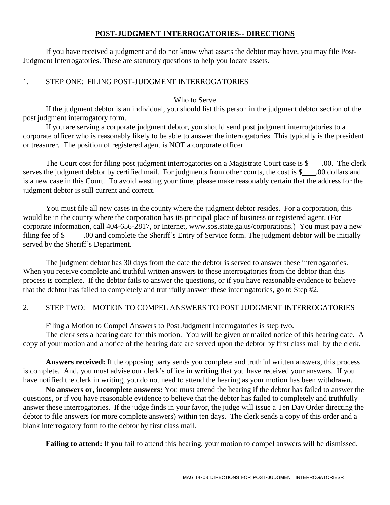## **POST-JUDGMENT INTERROGATORIES-- DIRECTIONS**

If you have received a judgment and do not know what assets the debtor may have, you may file Post-Judgment Interrogatories. These are statutory questions to help you locate assets.

## 1. STEP ONE: FILING POST-JUDGMENT INTERROGATORIES

#### Who to Serve

If the judgment debtor is an individual, you should list this person in the judgment debtor section of the post judgment interrogatory form.

If you are serving a corporate judgment debtor, you should send post judgment interrogatories to a corporate officer who is reasonably likely to be able to answer the interrogatories. This typically is the president or treasurer. The position of registered agent is NOT a corporate officer.

The Court cost for filing post judgment interrogatories on a Magistrate Court case is \$ .00. The clerk serves the judgment debtor by certified mail. For judgments from other courts, the cost is \$ .00 dollars and is a new case in this Court. To avoid wasting your time, please make reasonably certain that the address for the judgment debtor is still current and correct.

You must file all new cases in the county where the judgment debtor resides. For a corporation, this would be in the county where the corporation has its principal place of business or registered agent. (For corporate information, call 404-656-2817, or Internet, www.sos.state.ga.us/corporations.) You must pay a new filing fee of \$ .00 and complete the Sheriff's Entry of Service form. The judgment debtor will be initially served by the Sheriff's Department.

The judgment debtor has 30 days from the date the debtor is served to answer these interrogatories. When you receive complete and truthful written answers to these interrogatories from the debtor than this process is complete. If the debtor fails to answer the questions, or if you have reasonable evidence to believe that the debtor has failed to completely and truthfully answer these interrogatories, go to Step #2.

### 2. STEP TWO: MOTION TO COMPEL ANSWERS TO POST JUDGMENT INTERROGATORIES

Filing a Motion to Compel Answers to Post Judgment Interrogatories is step two.

The clerk sets a hearing date for this motion. You will be given or mailed notice of this hearing date. A copy of your motion and a notice of the hearing date are served upon the debtor by first class mail by the clerk.

**Answers received:** If the opposing party sends you complete and truthful written answers, this process is complete. And, you must advise our clerk's office **in writing** that you have received your answers. If you have notified the clerk in writing, you do not need to attend the hearing as your motion has been withdrawn.

**No answers or, incomplete answers:** You must attend the hearing if the debtor has failed to answer the questions, or if you have reasonable evidence to believe that the debtor has failed to completely and truthfully answer these interrogatories. If the judge finds in your favor, the judge will issue a Ten Day Order directing the debtor to file answers (or more complete answers) within ten days. The clerk sends a copy of this order and a blank interrogatory form to the debtor by first class mail.

**Failing to attend:** If **you** fail to attend this hearing, your motion to compel answers will be dismissed.